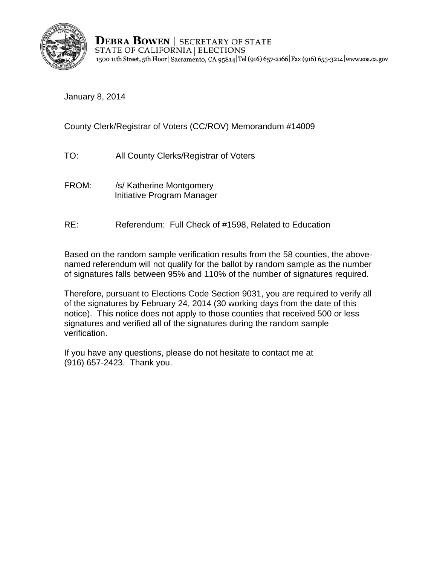

**DEBRA BOWEN** | SECRETARY OF STATE STATE OF CALIFORNIA | ELECTIONS 1500 11th Street, 5th Floor | Sacramento, CA 95814 Tel (916) 657-2166 | Fax (916) 653-3214 | www.sos.ca.gov

January 8, 2014

County Clerk/Registrar of Voters (CC/ROV) Memorandum #14009

- TO: All County Clerks/Registrar of Voters
- FROM: /s/ Katherine Montgomery Initiative Program Manager
- RE: Referendum: Full Check of #1598, Related to Education

Based on the random sample verification results from the 58 counties, the abovenamed referendum will not qualify for the ballot by random sample as the number of signatures falls between 95% and 110% of the number of signatures required.

Therefore, pursuant to Elections Code Section 9031, you are required to verify all of the signatures by February 24, 2014 (30 working days from the date of this notice). This notice does not apply to those counties that received 500 or less signatures and verified all of the signatures during the random sample verification.

If you have any questions, please do not hesitate to contact me at (916) 657-2423. Thank you.